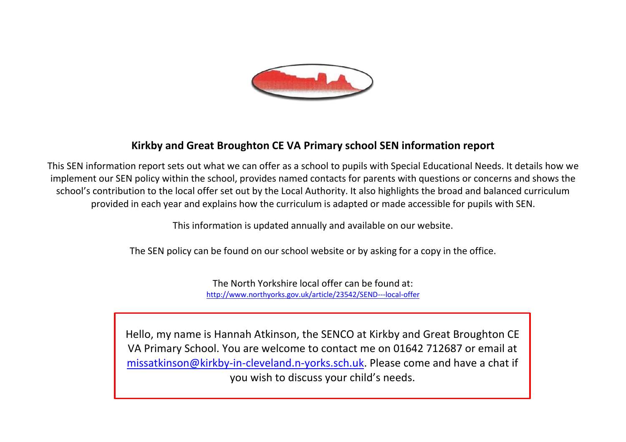

## **Kirkby and Great Broughton CE VA Primary school SEN information report**

This SEN information report sets out what we can offer as a school to pupils with Special Educational Needs. It details how we implement our SEN policy within the school, provides named contacts for parents with questions or concerns and shows the school's contribution to the local offer set out by the Local Authority. It also highlights the broad and balanced curriculum provided in each year and explains how the curriculum is adapted or made accessible for pupils with SEN.

This information is updated annually and available on our website.

The SEN policy can be found on our school website or by asking for a copy in the office.

The North Yorkshire local offer can be found at: <http://www.northyorks.gov.uk/article/23542/SEND---local-offer>

Hello, my name is Hannah Atkinson, the SENCO at Kirkby and Great Broughton CE VA Primary School. You are welcome to contact me on 01642 712687 or email at [missatkinson@kirkby-in-cleveland.n-yorks.sch.uk.](mailto:missatkinson@kirkby-in-cleveland.n-yorks.sch.uk) Please come and have a chat if you wish to discuss your child's needs.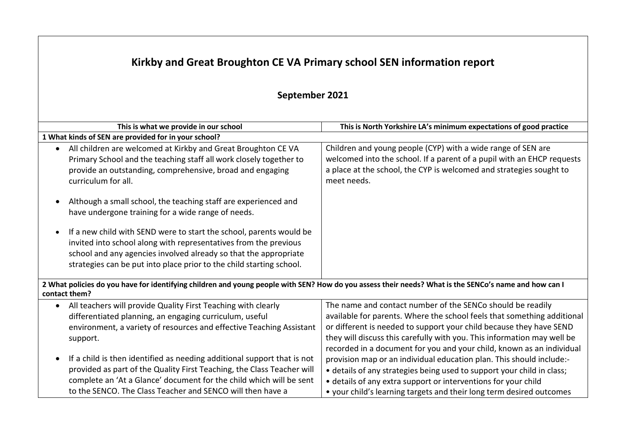## **Kirkby and Great Broughton CE VA Primary school SEN information report**

## **September 2021**

| This is what we provide in our school                                                                                                                                                                                                                                                                                                                         | This is North Yorkshire LA's minimum expectations of good practice                                                                                                                                                                                                                                                                                               |
|---------------------------------------------------------------------------------------------------------------------------------------------------------------------------------------------------------------------------------------------------------------------------------------------------------------------------------------------------------------|------------------------------------------------------------------------------------------------------------------------------------------------------------------------------------------------------------------------------------------------------------------------------------------------------------------------------------------------------------------|
| 1 What kinds of SEN are provided for in your school?                                                                                                                                                                                                                                                                                                          |                                                                                                                                                                                                                                                                                                                                                                  |
| All children are welcomed at Kirkby and Great Broughton CE VA<br>$\bullet$<br>Primary School and the teaching staff all work closely together to<br>provide an outstanding, comprehensive, broad and engaging<br>curriculum for all.<br>Although a small school, the teaching staff are experienced and<br>have undergone training for a wide range of needs. | Children and young people (CYP) with a wide range of SEN are<br>welcomed into the school. If a parent of a pupil with an EHCP requests<br>a place at the school, the CYP is welcomed and strategies sought to<br>meet needs.                                                                                                                                     |
| If a new child with SEND were to start the school, parents would be<br>invited into school along with representatives from the previous<br>school and any agencies involved already so that the appropriate<br>strategies can be put into place prior to the child starting school.                                                                           |                                                                                                                                                                                                                                                                                                                                                                  |
| 2 What policies do you have for identifying children and young people with SEN? How do you assess their needs? What is the SENCo's name and how can I<br>contact them?                                                                                                                                                                                        |                                                                                                                                                                                                                                                                                                                                                                  |
| All teachers will provide Quality First Teaching with clearly<br>$\bullet$<br>differentiated planning, an engaging curriculum, useful<br>environment, a variety of resources and effective Teaching Assistant<br>support.                                                                                                                                     | The name and contact number of the SENCo should be readily<br>available for parents. Where the school feels that something additional<br>or different is needed to support your child because they have SEND<br>they will discuss this carefully with you. This information may well be<br>recorded in a document for you and your child, known as an individual |
| If a child is then identified as needing additional support that is not<br>$\bullet$<br>provided as part of the Quality First Teaching, the Class Teacher will<br>complete an 'At a Glance' document for the child which will be sent<br>to the SENCO. The Class Teacher and SENCO will then have a                                                           | provision map or an individual education plan. This should include:-<br>• details of any strategies being used to support your child in class;<br>• details of any extra support or interventions for your child<br>• your child's learning targets and their long term desired outcomes                                                                         |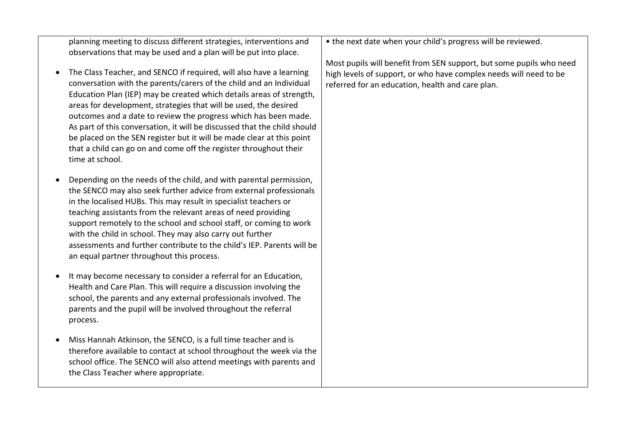planning meeting to discuss different strategies, interventions and observations that may be used and a plan will be put into place.

- The Class Teacher, and SENCO if required, will also have a learning conversation with the parents/carers of the child and an Individual Education Plan (IEP) may be created which details areas of strength, areas for development, strategies that will be used, the desired outcomes and a date to review the progress which has been made. As part of this conversation, it will be discussed that the child should be placed on the SEN register but it will be made clear at this point that a child can go on and come off the register throughout their time at school.
- Depending on the needs of the child, and with parental permission, the SENCO may also seek further advice from external professionals in the localised HUBs. This may result in specialist teachers or teaching assistants from the relevant areas of need providing support remotely to the school and school staff, or coming to work with the child in school. They may also carry out further assessments and further contribute to the child's IEP. Parents will be an equal partner throughout this process.
- It may become necessary to consider a referral for an Education, Health and Care Plan. This will require a discussion involving the school, the parents and any external professionals involved. The parents and the pupil will be involved throughout the referral process.
- Miss Hannah Atkinson, the SENCO, is a full time teacher and is therefore available to contact at school throughout the week via the school office. The SENCO will also attend meetings with parents and the Class Teacher where appropriate.

• the next date when your child's progress will be reviewed.

Most pupils will benefit from SEN support, but some pupils who need high levels of support, or who have complex needs will need to be referred for an education, health and care plan.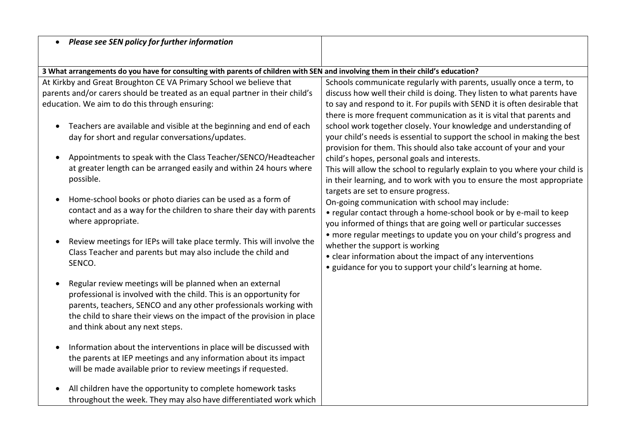| <b>Please see SEN policy for further information</b>                                                                            |                                                                            |
|---------------------------------------------------------------------------------------------------------------------------------|----------------------------------------------------------------------------|
| 3 What arrangements do you have for consulting with parents of children with SEN and involving them in their child's education? |                                                                            |
| At Kirkby and Great Broughton CE VA Primary School we believe that                                                              | Schools communicate regularly with parents, usually once a term, to        |
| parents and/or carers should be treated as an equal partner in their child's                                                    | discuss how well their child is doing. They listen to what parents have    |
| education. We aim to do this through ensuring:                                                                                  | to say and respond to it. For pupils with SEND it is often desirable that  |
|                                                                                                                                 | there is more frequent communication as it is vital that parents and       |
| Teachers are available and visible at the beginning and end of each                                                             | school work together closely. Your knowledge and understanding of          |
| day for short and regular conversations/updates.                                                                                | your child's needs is essential to support the school in making the best   |
|                                                                                                                                 | provision for them. This should also take account of your and your         |
| Appointments to speak with the Class Teacher/SENCO/Headteacher                                                                  | child's hopes, personal goals and interests.                               |
| at greater length can be arranged easily and within 24 hours where                                                              | This will allow the school to regularly explain to you where your child is |
| possible.                                                                                                                       | in their learning, and to work with you to ensure the most appropriate     |
|                                                                                                                                 | targets are set to ensure progress.                                        |
| Home-school books or photo diaries can be used as a form of                                                                     | On-going communication with school may include:                            |
| contact and as a way for the children to share their day with parents                                                           | • regular contact through a home-school book or by e-mail to keep          |
| where appropriate.                                                                                                              | you informed of things that are going well or particular successes         |
|                                                                                                                                 | • more regular meetings to update you on your child's progress and         |
| Review meetings for IEPs will take place termly. This will involve the                                                          | whether the support is working                                             |
| Class Teacher and parents but may also include the child and                                                                    | • clear information about the impact of any interventions                  |
| SENCO.                                                                                                                          | • guidance for you to support your child's learning at home.               |
|                                                                                                                                 |                                                                            |
| Regular review meetings will be planned when an external                                                                        |                                                                            |
| professional is involved with the child. This is an opportunity for                                                             |                                                                            |
| parents, teachers, SENCO and any other professionals working with                                                               |                                                                            |
| the child to share their views on the impact of the provision in place                                                          |                                                                            |
| and think about any next steps.                                                                                                 |                                                                            |
|                                                                                                                                 |                                                                            |
| Information about the interventions in place will be discussed with                                                             |                                                                            |
| the parents at IEP meetings and any information about its impact                                                                |                                                                            |
| will be made available prior to review meetings if requested.                                                                   |                                                                            |
| All children have the opportunity to complete homework tasks                                                                    |                                                                            |
| throughout the week. They may also have differentiated work which                                                               |                                                                            |
|                                                                                                                                 |                                                                            |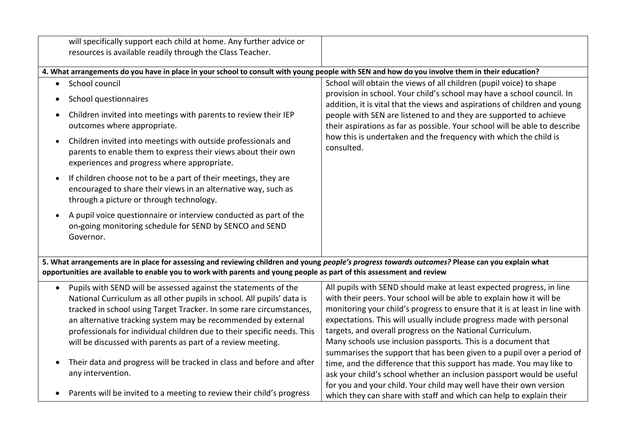| will specifically support each child at home. Any further advice or                                                                                                                                                                                                                                                                                                                                                                                                                                                                                 |                                                                                                                                                                                                                                                                                                                                                                                                                                                                                                                                                                                                                                                                                                                                   |  |
|-----------------------------------------------------------------------------------------------------------------------------------------------------------------------------------------------------------------------------------------------------------------------------------------------------------------------------------------------------------------------------------------------------------------------------------------------------------------------------------------------------------------------------------------------------|-----------------------------------------------------------------------------------------------------------------------------------------------------------------------------------------------------------------------------------------------------------------------------------------------------------------------------------------------------------------------------------------------------------------------------------------------------------------------------------------------------------------------------------------------------------------------------------------------------------------------------------------------------------------------------------------------------------------------------------|--|
| resources is available readily through the Class Teacher.                                                                                                                                                                                                                                                                                                                                                                                                                                                                                           |                                                                                                                                                                                                                                                                                                                                                                                                                                                                                                                                                                                                                                                                                                                                   |  |
| 4. What arrangements do you have in place in your school to consult with young people with SEN and how do you involve them in their education?                                                                                                                                                                                                                                                                                                                                                                                                      |                                                                                                                                                                                                                                                                                                                                                                                                                                                                                                                                                                                                                                                                                                                                   |  |
| School council<br>$\bullet$                                                                                                                                                                                                                                                                                                                                                                                                                                                                                                                         | School will obtain the views of all children (pupil voice) to shape                                                                                                                                                                                                                                                                                                                                                                                                                                                                                                                                                                                                                                                               |  |
| School questionnaires                                                                                                                                                                                                                                                                                                                                                                                                                                                                                                                               | provision in school. Your child's school may have a school council. In<br>addition, it is vital that the views and aspirations of children and young                                                                                                                                                                                                                                                                                                                                                                                                                                                                                                                                                                              |  |
| Children invited into meetings with parents to review their IEP<br>$\bullet$<br>outcomes where appropriate.                                                                                                                                                                                                                                                                                                                                                                                                                                         | people with SEN are listened to and they are supported to achieve<br>their aspirations as far as possible. Your school will be able to describe                                                                                                                                                                                                                                                                                                                                                                                                                                                                                                                                                                                   |  |
| Children invited into meetings with outside professionals and<br>$\bullet$<br>parents to enable them to express their views about their own<br>experiences and progress where appropriate.                                                                                                                                                                                                                                                                                                                                                          | how this is undertaken and the frequency with which the child is<br>consulted.                                                                                                                                                                                                                                                                                                                                                                                                                                                                                                                                                                                                                                                    |  |
| If children choose not to be a part of their meetings, they are<br>$\bullet$<br>encouraged to share their views in an alternative way, such as<br>through a picture or through technology.                                                                                                                                                                                                                                                                                                                                                          |                                                                                                                                                                                                                                                                                                                                                                                                                                                                                                                                                                                                                                                                                                                                   |  |
| A pupil voice questionnaire or interview conducted as part of the<br>$\bullet$<br>on-going monitoring schedule for SEND by SENCO and SEND<br>Governor.                                                                                                                                                                                                                                                                                                                                                                                              |                                                                                                                                                                                                                                                                                                                                                                                                                                                                                                                                                                                                                                                                                                                                   |  |
| 5. What arrangements are in place for assessing and reviewing children and young people's progress towards outcomes? Please can you explain what<br>opportunities are available to enable you to work with parents and young people as part of this assessment and review                                                                                                                                                                                                                                                                           |                                                                                                                                                                                                                                                                                                                                                                                                                                                                                                                                                                                                                                                                                                                                   |  |
| Pupils with SEND will be assessed against the statements of the<br>$\bullet$<br>National Curriculum as all other pupils in school. All pupils' data is<br>tracked in school using Target Tracker. In some rare circumstances,<br>an alternative tracking system may be recommended by external<br>professionals for individual children due to their specific needs. This<br>will be discussed with parents as part of a review meeting.<br>Their data and progress will be tracked in class and before and after<br>$\bullet$<br>any intervention. | All pupils with SEND should make at least expected progress, in line<br>with their peers. Your school will be able to explain how it will be<br>monitoring your child's progress to ensure that it is at least in line with<br>expectations. This will usually include progress made with personal<br>targets, and overall progress on the National Curriculum.<br>Many schools use inclusion passports. This is a document that<br>summarises the support that has been given to a pupil over a period of<br>time, and the difference that this support has made. You may like to<br>ask your child's school whether an inclusion passport would be useful<br>for you and your child. Your child may well have their own version |  |
| Parents will be invited to a meeting to review their child's progress<br>$\bullet$                                                                                                                                                                                                                                                                                                                                                                                                                                                                  | which they can share with staff and which can help to explain their                                                                                                                                                                                                                                                                                                                                                                                                                                                                                                                                                                                                                                                               |  |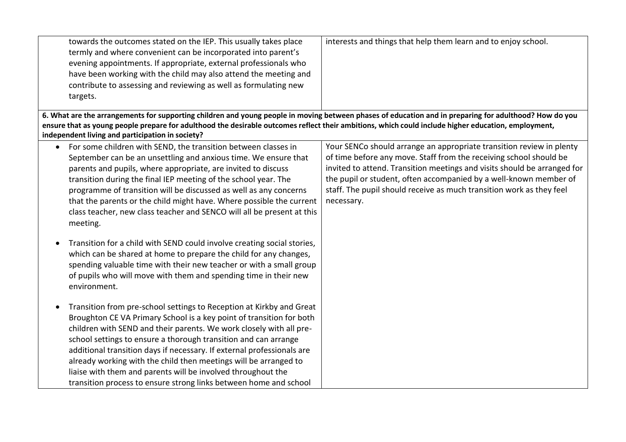| towards the outcomes stated on the IEP. This usually takes place<br>termly and where convenient can be incorporated into parent's<br>evening appointments. If appropriate, external professionals who<br>have been working with the child may also attend the meeting and<br>contribute to assessing and reviewing as well as formulating new<br>targets.<br>6. What are the arrangements for supporting children and young people in moving between phases of education and in preparing for adulthood? How do you                                                                              | interests and things that help them learn and to enjoy school.                                                                                                                                                                                                                                                                                                                    |
|--------------------------------------------------------------------------------------------------------------------------------------------------------------------------------------------------------------------------------------------------------------------------------------------------------------------------------------------------------------------------------------------------------------------------------------------------------------------------------------------------------------------------------------------------------------------------------------------------|-----------------------------------------------------------------------------------------------------------------------------------------------------------------------------------------------------------------------------------------------------------------------------------------------------------------------------------------------------------------------------------|
| ensure that as young people prepare for adulthood the desirable outcomes reflect their ambitions, which could include higher education, employment,<br>independent living and participation in society?                                                                                                                                                                                                                                                                                                                                                                                          |                                                                                                                                                                                                                                                                                                                                                                                   |
| For some children with SEND, the transition between classes in<br>$\bullet$<br>September can be an unsettling and anxious time. We ensure that<br>parents and pupils, where appropriate, are invited to discuss<br>transition during the final IEP meeting of the school year. The<br>programme of transition will be discussed as well as any concerns<br>that the parents or the child might have. Where possible the current<br>class teacher, new class teacher and SENCO will all be present at this<br>meeting.<br>Transition for a child with SEND could involve creating social stories, | Your SENCo should arrange an appropriate transition review in plenty<br>of time before any move. Staff from the receiving school should be<br>invited to attend. Transition meetings and visits should be arranged for<br>the pupil or student, often accompanied by a well-known member of<br>staff. The pupil should receive as much transition work as they feel<br>necessary. |
| which can be shared at home to prepare the child for any changes,<br>spending valuable time with their new teacher or with a small group<br>of pupils who will move with them and spending time in their new<br>environment.                                                                                                                                                                                                                                                                                                                                                                     |                                                                                                                                                                                                                                                                                                                                                                                   |
| Transition from pre-school settings to Reception at Kirkby and Great<br>$\bullet$<br>Broughton CE VA Primary School is a key point of transition for both<br>children with SEND and their parents. We work closely with all pre-<br>school settings to ensure a thorough transition and can arrange<br>additional transition days if necessary. If external professionals are<br>already working with the child then meetings will be arranged to<br>liaise with them and parents will be involved throughout the<br>transition process to ensure strong links between home and school           |                                                                                                                                                                                                                                                                                                                                                                                   |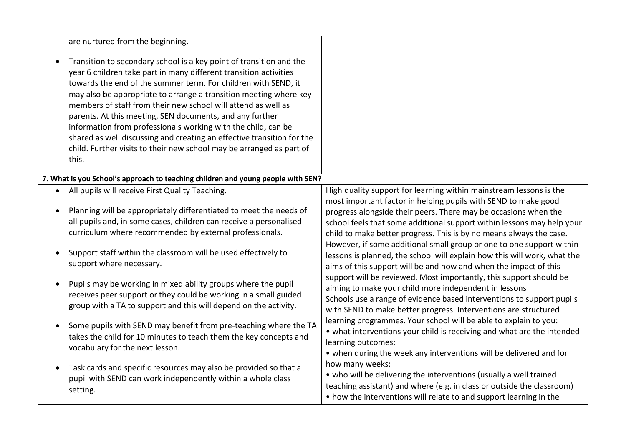|           | are nurtured from the beginning.                                                                                                                                                                                                                                                                                                                                                                                                                                                                                                                                                                                                         |                                                                                                                                                                                                                                                                                                                                                                                                                                                                                                                                                                                                                                                                                                                                                                                                                                                             |
|-----------|------------------------------------------------------------------------------------------------------------------------------------------------------------------------------------------------------------------------------------------------------------------------------------------------------------------------------------------------------------------------------------------------------------------------------------------------------------------------------------------------------------------------------------------------------------------------------------------------------------------------------------------|-------------------------------------------------------------------------------------------------------------------------------------------------------------------------------------------------------------------------------------------------------------------------------------------------------------------------------------------------------------------------------------------------------------------------------------------------------------------------------------------------------------------------------------------------------------------------------------------------------------------------------------------------------------------------------------------------------------------------------------------------------------------------------------------------------------------------------------------------------------|
|           | Transition to secondary school is a key point of transition and the<br>year 6 children take part in many different transition activities<br>towards the end of the summer term. For children with SEND, it<br>may also be appropriate to arrange a transition meeting where key<br>members of staff from their new school will attend as well as<br>parents. At this meeting, SEN documents, and any further<br>information from professionals working with the child, can be<br>shared as well discussing and creating an effective transition for the<br>child. Further visits to their new school may be arranged as part of<br>this. |                                                                                                                                                                                                                                                                                                                                                                                                                                                                                                                                                                                                                                                                                                                                                                                                                                                             |
|           | 7. What is you School's approach to teaching children and young people with SEN?                                                                                                                                                                                                                                                                                                                                                                                                                                                                                                                                                         |                                                                                                                                                                                                                                                                                                                                                                                                                                                                                                                                                                                                                                                                                                                                                                                                                                                             |
| $\bullet$ | All pupils will receive First Quality Teaching.<br>Planning will be appropriately differentiated to meet the needs of<br>all pupils and, in some cases, children can receive a personalised<br>curriculum where recommended by external professionals.<br>Support staff within the classroom will be used effectively to<br>support where necessary.<br>Pupils may be working in mixed ability groups where the pupil<br>receives peer support or they could be working in a small guided<br>group with a TA to support and this will depend on the activity.                                                                            | High quality support for learning within mainstream lessons is the<br>most important factor in helping pupils with SEND to make good<br>progress alongside their peers. There may be occasions when the<br>school feels that some additional support within lessons may help your<br>child to make better progress. This is by no means always the case.<br>However, if some additional small group or one to one support within<br>lessons is planned, the school will explain how this will work, what the<br>aims of this support will be and how and when the impact of this<br>support will be reviewed. Most importantly, this support should be<br>aiming to make your child more independent in lessons<br>Schools use a range of evidence based interventions to support pupils<br>with SEND to make better progress. Interventions are structured |
|           | Some pupils with SEND may benefit from pre-teaching where the TA<br>takes the child for 10 minutes to teach them the key concepts and<br>vocabulary for the next lesson.                                                                                                                                                                                                                                                                                                                                                                                                                                                                 | learning programmes. Your school will be able to explain to you:<br>• what interventions your child is receiving and what are the intended<br>learning outcomes;<br>• when during the week any interventions will be delivered and for                                                                                                                                                                                                                                                                                                                                                                                                                                                                                                                                                                                                                      |
|           | Task cards and specific resources may also be provided so that a<br>pupil with SEND can work independently within a whole class<br>setting.                                                                                                                                                                                                                                                                                                                                                                                                                                                                                              | how many weeks;<br>• who will be delivering the interventions (usually a well trained<br>teaching assistant) and where (e.g. in class or outside the classroom)<br>• how the interventions will relate to and support learning in the                                                                                                                                                                                                                                                                                                                                                                                                                                                                                                                                                                                                                       |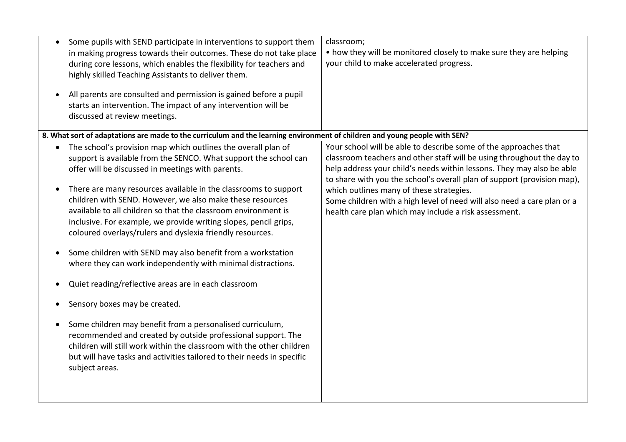| $\bullet$ | Some pupils with SEND participate in interventions to support them<br>in making progress towards their outcomes. These do not take place<br>during core lessons, which enables the flexibility for teachers and<br>highly skilled Teaching Assistants to deliver them.<br>All parents are consulted and permission is gained before a pupil<br>starts an intervention. The impact of any intervention will be | classroom;<br>• how they will be monitored closely to make sure they are helping<br>your child to make accelerated progress.                                                                                                                                                                   |
|-----------|---------------------------------------------------------------------------------------------------------------------------------------------------------------------------------------------------------------------------------------------------------------------------------------------------------------------------------------------------------------------------------------------------------------|------------------------------------------------------------------------------------------------------------------------------------------------------------------------------------------------------------------------------------------------------------------------------------------------|
|           | discussed at review meetings.                                                                                                                                                                                                                                                                                                                                                                                 |                                                                                                                                                                                                                                                                                                |
|           | 8. What sort of adaptations are made to the curriculum and the learning environment of children and young people with SEN?                                                                                                                                                                                                                                                                                    |                                                                                                                                                                                                                                                                                                |
|           | The school's provision map which outlines the overall plan of<br>support is available from the SENCO. What support the school can<br>offer will be discussed in meetings with parents.                                                                                                                                                                                                                        | Your school will be able to describe some of the approaches that<br>classroom teachers and other staff will be using throughout the day to<br>help address your child's needs within lessons. They may also be able<br>to share with you the school's overall plan of support (provision map), |
| $\bullet$ | There are many resources available in the classrooms to support<br>children with SEND. However, we also make these resources<br>available to all children so that the classroom environment is<br>inclusive. For example, we provide writing slopes, pencil grips,<br>coloured overlays/rulers and dyslexia friendly resources.                                                                               | which outlines many of these strategies.<br>Some children with a high level of need will also need a care plan or a<br>health care plan which may include a risk assessment.                                                                                                                   |
| $\bullet$ | Some children with SEND may also benefit from a workstation<br>where they can work independently with minimal distractions.                                                                                                                                                                                                                                                                                   |                                                                                                                                                                                                                                                                                                |
|           | Quiet reading/reflective areas are in each classroom                                                                                                                                                                                                                                                                                                                                                          |                                                                                                                                                                                                                                                                                                |
|           | Sensory boxes may be created.                                                                                                                                                                                                                                                                                                                                                                                 |                                                                                                                                                                                                                                                                                                |
|           | Some children may benefit from a personalised curriculum,<br>recommended and created by outside professional support. The<br>children will still work within the classroom with the other children<br>but will have tasks and activities tailored to their needs in specific<br>subject areas.                                                                                                                |                                                                                                                                                                                                                                                                                                |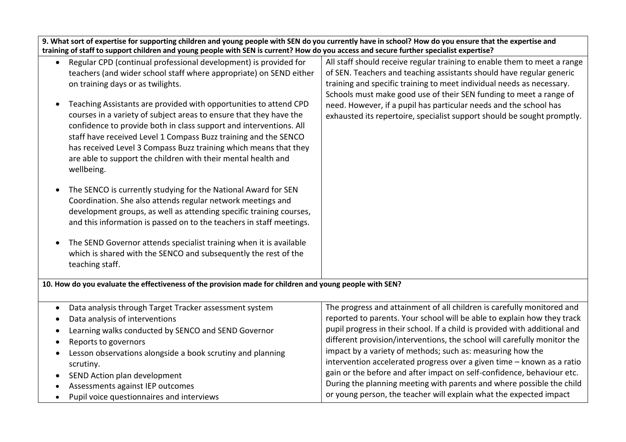| 9. What sort of expertise for supporting children and young people with SEN do you currently have in school? How do you ensure that the expertise and<br>training of staff to support children and young people with SEN is current? How do you access and secure further specialist expertise?                                                                                                                                                                                                                                                                                                                                 |                                                                                                                                                                                                                                                                                                                                                                                                                                                                                                                                                                                                                                                                              |  |
|---------------------------------------------------------------------------------------------------------------------------------------------------------------------------------------------------------------------------------------------------------------------------------------------------------------------------------------------------------------------------------------------------------------------------------------------------------------------------------------------------------------------------------------------------------------------------------------------------------------------------------|------------------------------------------------------------------------------------------------------------------------------------------------------------------------------------------------------------------------------------------------------------------------------------------------------------------------------------------------------------------------------------------------------------------------------------------------------------------------------------------------------------------------------------------------------------------------------------------------------------------------------------------------------------------------------|--|
| Regular CPD (continual professional development) is provided for<br>$\bullet$<br>teachers (and wider school staff where appropriate) on SEND either<br>on training days or as twilights.<br>Teaching Assistants are provided with opportunities to attend CPD<br>courses in a variety of subject areas to ensure that they have the<br>confidence to provide both in class support and interventions. All<br>staff have received Level 1 Compass Buzz training and the SENCO<br>has received Level 3 Compass Buzz training which means that they<br>are able to support the children with their mental health and<br>wellbeing. | All staff should receive regular training to enable them to meet a range<br>of SEN. Teachers and teaching assistants should have regular generic<br>training and specific training to meet individual needs as necessary.<br>Schools must make good use of their SEN funding to meet a range of<br>need. However, if a pupil has particular needs and the school has<br>exhausted its repertoire, specialist support should be sought promptly.                                                                                                                                                                                                                              |  |
| The SENCO is currently studying for the National Award for SEN<br>Coordination. She also attends regular network meetings and<br>development groups, as well as attending specific training courses,<br>and this information is passed on to the teachers in staff meetings.<br>The SEND Governor attends specialist training when it is available<br>which is shared with the SENCO and subsequently the rest of the<br>teaching staff.                                                                                                                                                                                        |                                                                                                                                                                                                                                                                                                                                                                                                                                                                                                                                                                                                                                                                              |  |
| 10. How do you evaluate the effectiveness of the provision made for children and young people with SEN?                                                                                                                                                                                                                                                                                                                                                                                                                                                                                                                         |                                                                                                                                                                                                                                                                                                                                                                                                                                                                                                                                                                                                                                                                              |  |
| Data analysis through Target Tracker assessment system<br>Data analysis of interventions<br>Learning walks conducted by SENCO and SEND Governor<br>Reports to governors<br>Lesson observations alongside a book scrutiny and planning<br>scrutiny.<br>SEND Action plan development<br>Assessments against IEP outcomes<br>Pupil voice questionnaires and interviews                                                                                                                                                                                                                                                             | The progress and attainment of all children is carefully monitored and<br>reported to parents. Your school will be able to explain how they track<br>pupil progress in their school. If a child is provided with additional and<br>different provision/interventions, the school will carefully monitor the<br>impact by a variety of methods; such as: measuring how the<br>intervention accelerated progress over a given time - known as a ratio<br>gain or the before and after impact on self-confidence, behaviour etc.<br>During the planning meeting with parents and where possible the child<br>or young person, the teacher will explain what the expected impact |  |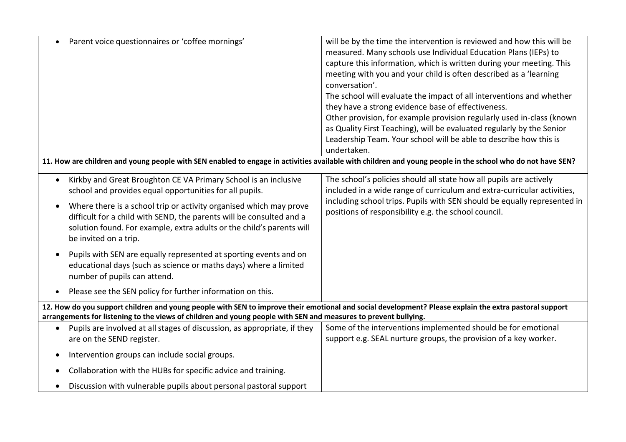| Parent voice questionnaires or 'coffee mornings'                                                                                                                                                                                                                          | will be by the time the intervention is reviewed and how this will be<br>measured. Many schools use Individual Education Plans (IEPs) to<br>capture this information, which is written during your meeting. This<br>meeting with you and your child is often described as a 'learning<br>conversation'.<br>The school will evaluate the impact of all interventions and whether<br>they have a strong evidence base of effectiveness.<br>Other provision, for example provision regularly used in-class (known<br>as Quality First Teaching), will be evaluated regularly by the Senior<br>Leadership Team. Your school will be able to describe how this is<br>undertaken. |
|---------------------------------------------------------------------------------------------------------------------------------------------------------------------------------------------------------------------------------------------------------------------------|-----------------------------------------------------------------------------------------------------------------------------------------------------------------------------------------------------------------------------------------------------------------------------------------------------------------------------------------------------------------------------------------------------------------------------------------------------------------------------------------------------------------------------------------------------------------------------------------------------------------------------------------------------------------------------|
| 11. How are children and young people with SEN enabled to engage in activities available with children and young people in the school who do not have SEN?                                                                                                                |                                                                                                                                                                                                                                                                                                                                                                                                                                                                                                                                                                                                                                                                             |
| Kirkby and Great Broughton CE VA Primary School is an inclusive<br>school and provides equal opportunities for all pupils.                                                                                                                                                | The school's policies should all state how all pupils are actively<br>included in a wide range of curriculum and extra-curricular activities,                                                                                                                                                                                                                                                                                                                                                                                                                                                                                                                               |
| Where there is a school trip or activity organised which may prove<br>$\bullet$<br>difficult for a child with SEND, the parents will be consulted and a<br>solution found. For example, extra adults or the child's parents will<br>be invited on a trip.                 | including school trips. Pupils with SEN should be equally represented in<br>positions of responsibility e.g. the school council.                                                                                                                                                                                                                                                                                                                                                                                                                                                                                                                                            |
| Pupils with SEN are equally represented at sporting events and on<br>$\bullet$<br>educational days (such as science or maths days) where a limited<br>number of pupils can attend.                                                                                        |                                                                                                                                                                                                                                                                                                                                                                                                                                                                                                                                                                                                                                                                             |
| Please see the SEN policy for further information on this.<br>$\bullet$                                                                                                                                                                                                   |                                                                                                                                                                                                                                                                                                                                                                                                                                                                                                                                                                                                                                                                             |
| 12. How do you support children and young people with SEN to improve their emotional and social development? Please explain the extra pastoral support<br>arrangements for listening to the views of children and young people with SEN and measures to prevent bullying. |                                                                                                                                                                                                                                                                                                                                                                                                                                                                                                                                                                                                                                                                             |
| Pupils are involved at all stages of discussion, as appropriate, if they<br>are on the SEND register.                                                                                                                                                                     | Some of the interventions implemented should be for emotional<br>support e.g. SEAL nurture groups, the provision of a key worker.                                                                                                                                                                                                                                                                                                                                                                                                                                                                                                                                           |
| Intervention groups can include social groups.<br>$\bullet$                                                                                                                                                                                                               |                                                                                                                                                                                                                                                                                                                                                                                                                                                                                                                                                                                                                                                                             |
| Collaboration with the HUBs for specific advice and training.                                                                                                                                                                                                             |                                                                                                                                                                                                                                                                                                                                                                                                                                                                                                                                                                                                                                                                             |
| Discussion with vulnerable pupils about personal pastoral support                                                                                                                                                                                                         |                                                                                                                                                                                                                                                                                                                                                                                                                                                                                                                                                                                                                                                                             |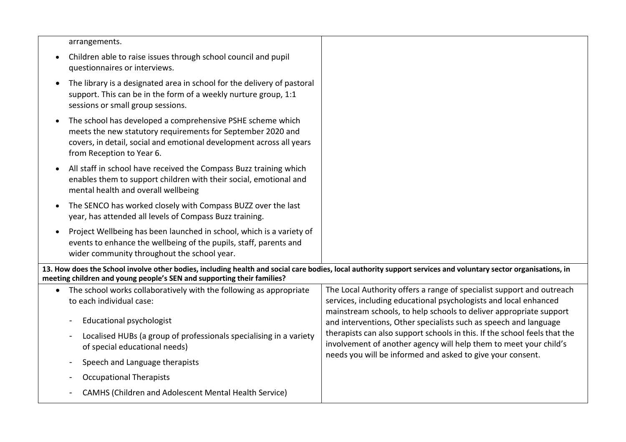| arrangements.                                                                                                                                                                                                                            |                                                                                                                                                                                                                 |
|------------------------------------------------------------------------------------------------------------------------------------------------------------------------------------------------------------------------------------------|-----------------------------------------------------------------------------------------------------------------------------------------------------------------------------------------------------------------|
| Children able to raise issues through school council and pupil<br>questionnaires or interviews.                                                                                                                                          |                                                                                                                                                                                                                 |
| The library is a designated area in school for the delivery of pastoral<br>support. This can be in the form of a weekly nurture group, 1:1<br>sessions or small group sessions.                                                          |                                                                                                                                                                                                                 |
| The school has developed a comprehensive PSHE scheme which<br>meets the new statutory requirements for September 2020 and<br>covers, in detail, social and emotional development across all years<br>from Reception to Year 6.           |                                                                                                                                                                                                                 |
| All staff in school have received the Compass Buzz training which<br>enables them to support children with their social, emotional and<br>mental health and overall wellbeing                                                            |                                                                                                                                                                                                                 |
| The SENCO has worked closely with Compass BUZZ over the last<br>year, has attended all levels of Compass Buzz training.                                                                                                                  |                                                                                                                                                                                                                 |
| Project Wellbeing has been launched in school, which is a variety of<br>events to enhance the wellbeing of the pupils, staff, parents and<br>wider community throughout the school year.                                                 |                                                                                                                                                                                                                 |
| 13. How does the School involve other bodies, including health and social care bodies, local authority support services and voluntary sector organisations, in<br>meeting children and young people's SEN and supporting their families? |                                                                                                                                                                                                                 |
| The school works collaboratively with the following as appropriate<br>$\bullet$<br>to each individual case:                                                                                                                              | The Local Authority offers a range of specialist support and outreach<br>services, including educational psychologists and local enhanced<br>mainstream schools, to help schools to deliver appropriate support |
| <b>Educational psychologist</b>                                                                                                                                                                                                          | and interventions, Other specialists such as speech and language                                                                                                                                                |
| Localised HUBs (a group of professionals specialising in a variety<br>of special educational needs)                                                                                                                                      | therapists can also support schools in this. If the school feels that the<br>involvement of another agency will help them to meet your child's<br>needs you will be informed and asked to give your consent.    |
| Speech and Language therapists                                                                                                                                                                                                           |                                                                                                                                                                                                                 |
| <b>Occupational Therapists</b>                                                                                                                                                                                                           |                                                                                                                                                                                                                 |
| CAMHS (Children and Adolescent Mental Health Service)                                                                                                                                                                                    |                                                                                                                                                                                                                 |